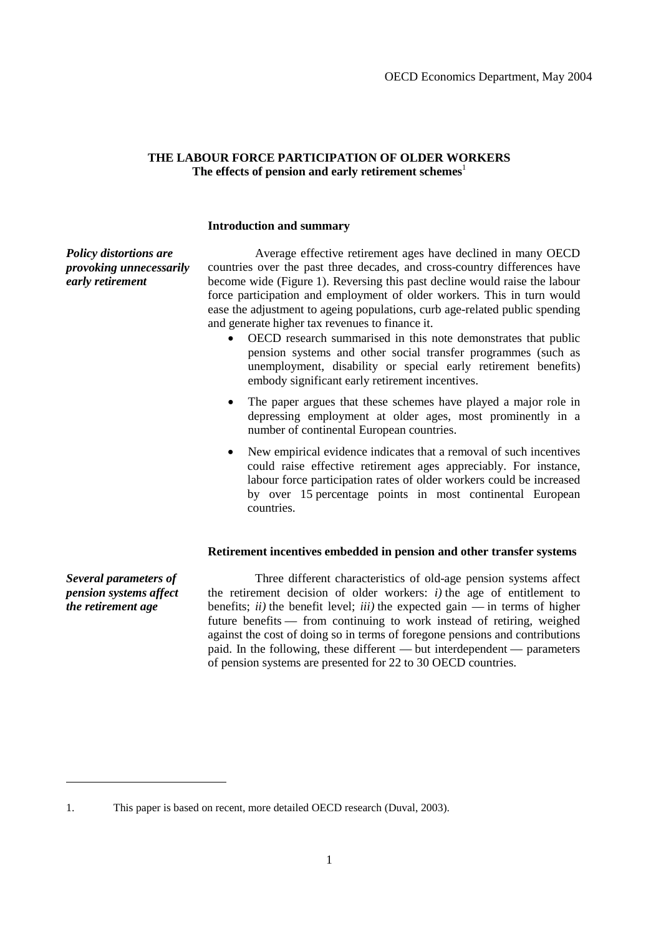# **THE LABOUR FORCE PARTICIPATION OF OLDER WORKERS**  The effects of pension and early retirement schemes<sup>1</sup>

### **Introduction and summary**

*Policy distortions are provoking unnecessarily early retirement* 

 Average effective retirement ages have declined in many OECD countries over the past three decades, and cross-country differences have become wide (Figure 1). Reversing this past decline would raise the labour force participation and employment of older workers. This in turn would ease the adjustment to ageing populations, curb age-related public spending and generate higher tax revenues to finance it.

- OECD research summarised in this note demonstrates that public pension systems and other social transfer programmes (such as unemployment, disability or special early retirement benefits) embody significant early retirement incentives.
- The paper argues that these schemes have played a major role in depressing employment at older ages, most prominently in a number of continental European countries.
- New empirical evidence indicates that a removal of such incentives could raise effective retirement ages appreciably. For instance, labour force participation rates of older workers could be increased by over 15 percentage points in most continental European countries.

### **Retirement incentives embedded in pension and other transfer systems**

*Several parameters of pension systems affect the retirement age* 

-

 Three different characteristics of old-age pension systems affect the retirement decision of older workers: *i)* the age of entitlement to benefits;  $ii)$  the benefit level;  $iii)$  the expected gain — in terms of higher future benefits — from continuing to work instead of retiring, weighed against the cost of doing so in terms of foregone pensions and contributions paid. In the following, these different — but interdependent — parameters of pension systems are presented for 22 to 30 OECD countries.

<sup>1.</sup> This paper is based on recent, more detailed OECD research (Duval, 2003).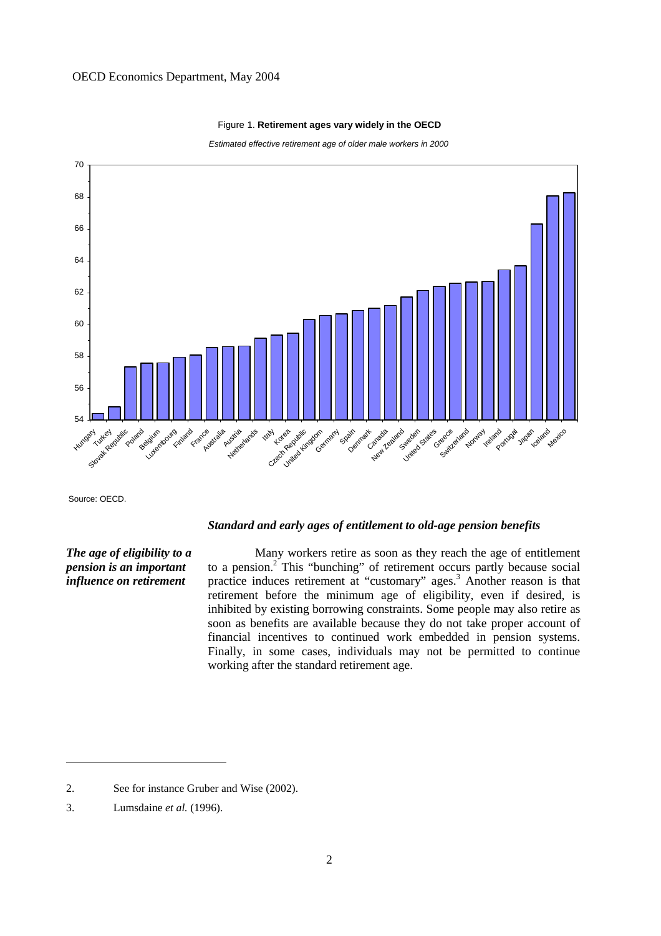

#### Figure 1. **Retirement ages vary widely in the OECD**

Estimated effective retirement age of older male workers in 2000

Source: OECD.

<u>.</u>

# *The age of eligibility to a pension is an important influence on retirement*

## *Standard and early ages of entitlement to old-age pension benefits*

 Many workers retire as soon as they reach the age of entitlement to a pension.<sup>2</sup> This "bunching" of retirement occurs partly because social practice induces retirement at "customary" ages.<sup>3</sup> Another reason is that retirement before the minimum age of eligibility, even if desired, is inhibited by existing borrowing constraints. Some people may also retire as soon as benefits are available because they do not take proper account of financial incentives to continued work embedded in pension systems. Finally, in some cases, individuals may not be permitted to continue working after the standard retirement age.

<sup>2.</sup> See for instance Gruber and Wise (2002).

<sup>3.</sup> Lumsdaine *et al.* (1996).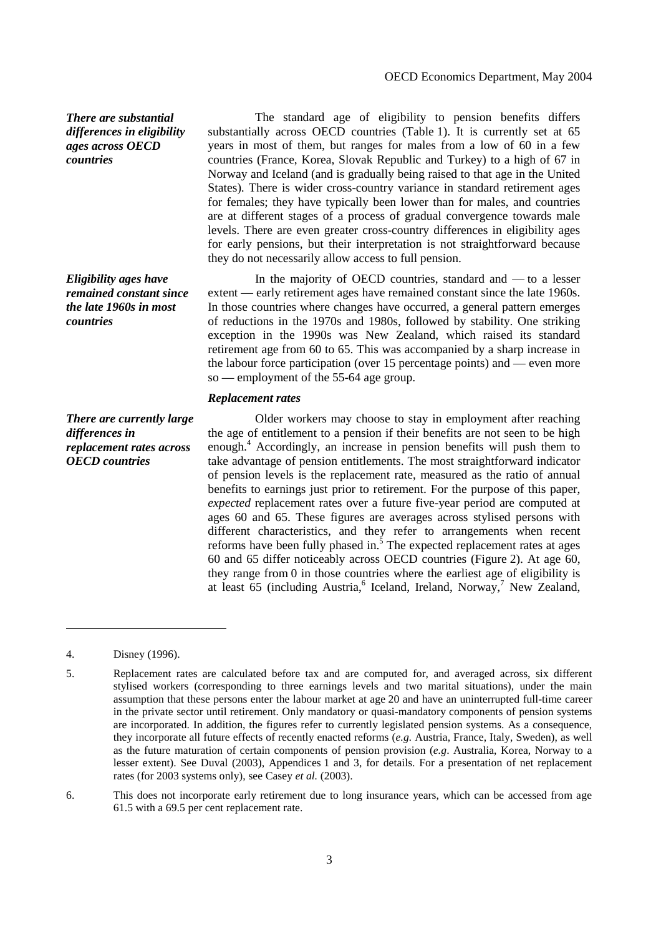### OECD Economics Department, May 2004

# *There are substantial differences in eligibility ages across OECD countries*

*Eligibility ages have remained constant since the late 1960s in most countries* 

*There are currently large differences in replacement rates across OECD countries* 

 The standard age of eligibility to pension benefits differs substantially across OECD countries (Table 1). It is currently set at 65 years in most of them, but ranges for males from a low of 60 in a few countries (France, Korea, Slovak Republic and Turkey) to a high of 67 in Norway and Iceland (and is gradually being raised to that age in the United States). There is wider cross-country variance in standard retirement ages for females; they have typically been lower than for males, and countries are at different stages of a process of gradual convergence towards male levels. There are even greater cross-country differences in eligibility ages for early pensions, but their interpretation is not straightforward because they do not necessarily allow access to full pension.

 In the majority of OECD countries, standard and — to a lesser extent — early retirement ages have remained constant since the late 1960s. In those countries where changes have occurred, a general pattern emerges of reductions in the 1970s and 1980s, followed by stability. One striking exception in the 1990s was New Zealand, which raised its standard retirement age from 60 to 65. This was accompanied by a sharp increase in the labour force participation (over 15 percentage points) and — even more so — employment of the 55-64 age group.

## *Replacement rates*

 Older workers may choose to stay in employment after reaching the age of entitlement to a pension if their benefits are not seen to be high enough.<sup>4</sup> Accordingly, an increase in pension benefits will push them to take advantage of pension entitlements. The most straightforward indicator of pension levels is the replacement rate, measured as the ratio of annual benefits to earnings just prior to retirement. For the purpose of this paper, *expected* replacement rates over a future five-year period are computed at ages 60 and 65. These figures are averages across stylised persons with different characteristics, and they refer to arrangements when recent reforms have been fully phased in.<sup>5</sup> The expected replacement rates at ages 60 and 65 differ noticeably across OECD countries (Figure 2). At age 60, they range from 0 in those countries where the earliest age of eligibility is at least 65 (including Austria,<sup>6</sup> Iceland, Ireland, Norway,<sup>7</sup> New Zealand,

<u>.</u>

<sup>4.</sup> Disney (1996).

<sup>5.</sup> Replacement rates are calculated before tax and are computed for, and averaged across, six different stylised workers (corresponding to three earnings levels and two marital situations), under the main assumption that these persons enter the labour market at age 20 and have an uninterrupted full-time career in the private sector until retirement. Only mandatory or quasi-mandatory components of pension systems are incorporated. In addition, the figures refer to currently legislated pension systems. As a consequence, they incorporate all future effects of recently enacted reforms (*e.g.* Austria, France, Italy, Sweden), as well as the future maturation of certain components of pension provision (*e.g*. Australia, Korea, Norway to a lesser extent). See Duval (2003), Appendices 1 and 3, for details. For a presentation of net replacement rates (for 2003 systems only), see Casey *et al.* (2003).

<sup>6.</sup> This does not incorporate early retirement due to long insurance years, which can be accessed from age 61.5 with a 69.5 per cent replacement rate.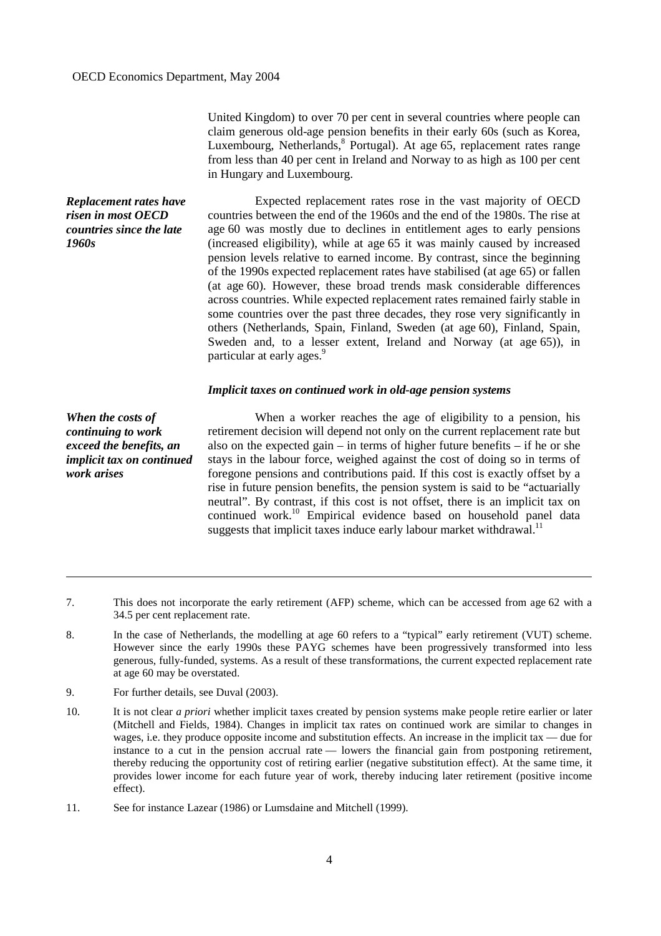United Kingdom) to over 70 per cent in several countries where people can claim generous old-age pension benefits in their early 60s (such as Korea, Luxembourg, Netherlands, Portugal). At age 65, replacement rates range from less than 40 per cent in Ireland and Norway to as high as 100 per cent in Hungary and Luxembourg.

*Replacement rates have risen in most OECD countries since the late 1960s* 

 Expected replacement rates rose in the vast majority of OECD countries between the end of the 1960s and the end of the 1980s. The rise at age 60 was mostly due to declines in entitlement ages to early pensions (increased eligibility), while at age 65 it was mainly caused by increased pension levels relative to earned income. By contrast, since the beginning of the 1990s expected replacement rates have stabilised (at age 65) or fallen (at age 60). However, these broad trends mask considerable differences across countries. While expected replacement rates remained fairly stable in some countries over the past three decades, they rose very significantly in others (Netherlands, Spain, Finland, Sweden (at age 60), Finland, Spain, Sweden and, to a lesser extent, Ireland and Norway (at age 65)), in particular at early ages.<sup>9</sup>

## *Implicit taxes on continued work in old-age pension systems*

*When the costs of continuing to work exceed the benefits, an implicit tax on continued work arises* 

<u>.</u>

 When a worker reaches the age of eligibility to a pension, his retirement decision will depend not only on the current replacement rate but also on the expected gain – in terms of higher future benefits – if he or she stays in the labour force, weighed against the cost of doing so in terms of foregone pensions and contributions paid. If this cost is exactly offset by a rise in future pension benefits, the pension system is said to be "actuarially neutral". By contrast, if this cost is not offset, there is an implicit tax on continued work.<sup>10</sup> Empirical evidence based on household panel data suggests that implicit taxes induce early labour market withdrawal.<sup>11</sup>

- 7. This does not incorporate the early retirement (AFP) scheme, which can be accessed from age 62 with a 34.5 per cent replacement rate.
- 8. In the case of Netherlands, the modelling at age 60 refers to a "typical" early retirement (VUT) scheme. However since the early 1990s these PAYG schemes have been progressively transformed into less generous, fully-funded, systems. As a result of these transformations, the current expected replacement rate at age 60 may be overstated.
- 9. For further details, see Duval (2003).
- 10. It is not clear *a priori* whether implicit taxes created by pension systems make people retire earlier or later (Mitchell and Fields, 1984). Changes in implicit tax rates on continued work are similar to changes in wages, i.e. they produce opposite income and substitution effects. An increase in the implicit tax — due for instance to a cut in the pension accrual rate — lowers the financial gain from postponing retirement, thereby reducing the opportunity cost of retiring earlier (negative substitution effect). At the same time, it provides lower income for each future year of work, thereby inducing later retirement (positive income effect).

11. See for instance Lazear (1986) or Lumsdaine and Mitchell (1999).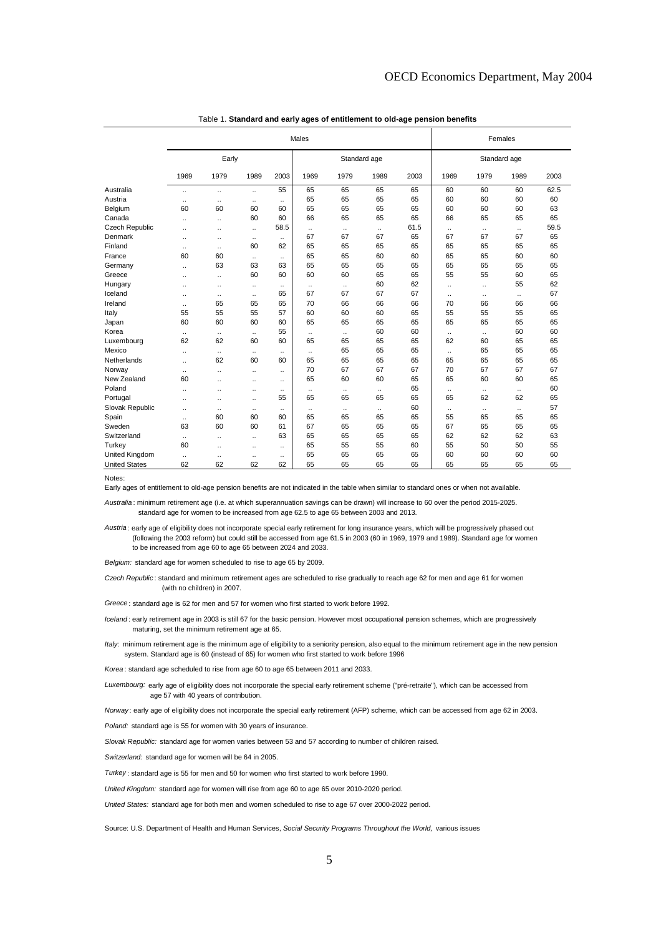|                       | Males                |                      |                      |           |              |           |           |      | Females              |           |                      |      |
|-----------------------|----------------------|----------------------|----------------------|-----------|--------------|-----------|-----------|------|----------------------|-----------|----------------------|------|
|                       | Early                |                      |                      |           | Standard age |           |           |      | Standard age         |           |                      |      |
|                       | 1969                 | 1979                 | 1989                 | 2003      | 1969         | 1979      | 1989      | 2003 | 1969                 | 1979      | 1989                 | 2003 |
| Australia             | $\ddot{\phantom{a}}$ | $\ddotsc$            | $\ddotsc$            | 55        | 65           | 65        | 65        | 65   | 60                   | 60        | 60                   | 62.5 |
| Austria               | $\ddotsc$            | $\ddotsc$            | $\ddotsc$            | $\ddotsc$ | 65           | 65        | 65        | 65   | 60                   | 60        | 60                   | 60   |
| Belgium               | 60                   | 60                   | 60                   | 60        | 65           | 65        | 65        | 65   | 60                   | 60        | 60                   | 63   |
| Canada                | $\ddot{\phantom{a}}$ | $\ddotsc$            | 60                   | 60        | 66           | 65        | 65        | 65   | 66                   | 65        | 65                   | 65   |
| <b>Czech Republic</b> | $\ddot{\phantom{a}}$ | $\ddot{\phantom{0}}$ | $\ddotsc$            | 58.5      | $\ddotsc$    | $\ddotsc$ | $\ddotsc$ | 61.5 | $\ddotsc$            | $\ddotsc$ | $\ddotsc$            | 59.5 |
| Denmark               | $\ddot{\phantom{a}}$ | $\ddotsc$            | $\ddotsc$            |           | 67           | 67        | 67        | 65   | 67                   | 67        | 67                   | 65   |
| Finland               | $\ddotsc$            | $\ddotsc$            | 60                   | 62        | 65           | 65        | 65        | 65   | 65                   | 65        | 65                   | 65   |
| France                | 60                   | 60                   | $\ddotsc$            |           | 65           | 65        | 60        | 60   | 65                   | 65        | 60                   | 60   |
| Germany               | $\ddot{\phantom{a}}$ | 63                   | 63                   | 63        | 65           | 65        | 65        | 65   | 65                   | 65        | 65                   | 65   |
| Greece                | $\ddot{\phantom{a}}$ | $\ddotsc$            | 60                   | 60        | 60           | 60        | 65        | 65   | 55                   | 55        | 60                   | 65   |
| Hungary               | $\ddot{\phantom{a}}$ | ÷.                   | $\ddotsc$            | $\ddotsc$ |              | $\ddotsc$ | 60        | 62   | $\ddot{\phantom{a}}$ | $\ddotsc$ | 55                   | 62   |
| Iceland               | $\ddotsc$            | $\ddotsc$            | $\ddotsc$            | 65        | 67           | 67        | 67        | 67   | $\ddot{\phantom{0}}$ |           | $\ddot{\phantom{0}}$ | 67   |
| Ireland               | $\ddotsc$            | 65                   | 65                   | 65        | 70           | 66        | 66        | 66   | 70                   | 66        | 66                   | 66   |
| Italy                 | 55                   | 55                   | 55                   | 57        | 60           | 60        | 60        | 65   | 55                   | 55        | 55                   | 65   |
| Japan                 | 60                   | 60                   | 60                   | 60        | 65           | 65        | 65        | 65   | 65                   | 65        | 65                   | 65   |
| Korea                 | $\ldots$             | $\ddotsc$            | $\ddotsc$            | 55        | $\ddotsc$    | $\ddotsc$ | 60        | 60   | $\ddotsc$            | $\ddotsc$ | 60                   | 60   |
| Luxembourg            | 62                   | 62                   | 60                   | 60        | 65           | 65        | 65        | 65   | 62                   | 60        | 65                   | 65   |
| Mexico                | $\ddotsc$            | $\ddotsc$            | $\ddotsc$            | $\ddotsc$ | $\ddotsc$    | 65        | 65        | 65   | $\ddotsc$            | 65        | 65                   | 65   |
| Netherlands           | $\ddot{\phantom{a}}$ | 62                   | 60                   | 60        | 65           | 65        | 65        | 65   | 65                   | 65        | 65                   | 65   |
| Norway                | $\ddot{\phantom{0}}$ | ÷.                   | $\ddot{\phantom{a}}$ |           | 70           | 67        | 67        | 67   | 70                   | 67        | 67                   | 67   |
| New Zealand           | 60                   | ٠.                   | $\ddotsc$            |           | 65           | 60        | 60        | 65   | 65                   | 60        | 60                   | 65   |
| Poland                | $\ddot{\phantom{a}}$ | ٠.                   | $\ddotsc$            |           | $\ddotsc$    | $\ddotsc$ | $\ldots$  | 65   | $\ddot{\phantom{a}}$ | $\ddotsc$ | $\ddotsc$            | 60   |
| Portugal              | $\ddot{\phantom{a}}$ | ÷.                   | $\ddot{\phantom{a}}$ | 55        | 65           | 65        | 65        | 65   | 65                   | 62        | 62                   | 65   |
| Slovak Republic       | $\ddotsc$            | $\ddotsc$            | $\ddotsc$            |           | $\ddotsc$    | $\ddotsc$ | $\ddotsc$ | 60   | $\ddotsc$            | $\ddotsc$ | $\ddotsc$            | 57   |
| Spain                 | $\ddotsc$            | 60                   | 60                   | 60        | 65           | 65        | 65        | 65   | 55                   | 65        | 65                   | 65   |
| Sweden                | 63                   | 60                   | 60                   | 61        | 67           | 65        | 65        | 65   | 67                   | 65        | 65                   | 65   |
| Switzerland           | $\ddot{\phantom{a}}$ | $\ddot{\phantom{0}}$ | $\ddotsc$            | 63        | 65           | 65        | 65        | 65   | 62                   | 62        | 62                   | 63   |
| Turkey                | 60                   | $\ddotsc$            | $\ddot{\phantom{a}}$ | $\ddotsc$ | 65           | 55        | 55        | 60   | 55                   | 50        | 50                   | 55   |
| United Kingdom        | $\ddotsc$            | $\ddot{\phantom{0}}$ | $\ddotsc$            | $\ddotsc$ | 65           | 65        | 65        | 65   | 60                   | 60        | 60                   | 60   |
| <b>United States</b>  | 62                   | 62                   | 62                   | 62        | 65           | 65        | 65        | 65   | 65                   | 65        | 65                   | 65   |

Table 1. **Standard and early ages of entitlement to old-age pension benefits**

Notes:

Early ages of entitlement to old-age pension benefits are not indicated in the table when similar to standard ones or when not available.

Australia : minimum retirement age (i.e. at which superannuation savings can be drawn) will increase to 60 over the period 2015-2025. standard age for women to be increased from age 62.5 to age 65 between 2003 and 2013.

Austria: early age of eligibility does not incorporate special early retirement for long insurance years, which will be progressively phased out (following the 2003 reform) but could still be accessed from age 61.5 in 2003 (60 in 1969, 1979 and 1989). Standard age for women to be increased from age 60 to age 65 between 2024 and 2033.

Belgium: standard age for women scheduled to rise to age 65 by 2009.

Czech Republic: standard and minimum retirement ages are scheduled to rise gradually to reach age 62 for men and age 61 for women (with no children) in 2007.

Greece : standard age is 62 for men and 57 for women who first started to work before 1992.

Iceland: early retirement age in 2003 is still 67 for the basic pension. However most occupational pension schemes, which are progressively maturing, set the minimum retirement age at 65.

Italy: minimum retirement age is the minimum age of eligibility to a seniority pension, also equal to the minimum retirement age in the new pension system. Standard age is 60 (instead of 65) for women who first started to work before 1996

Korea: standard age scheduled to rise from age 60 to age 65 between 2011 and 2033.

Luxembourg: early age of eligibility does not incorporate the special early retirement scheme ("pré-retraite"), which can be accessed from age 57 with 40 years of contribution.

Norway: early age of eligibility does not incorporate the special early retirement (AFP) scheme, which can be accessed from age 62 in 2003.

Poland: standard age is 55 for women with 30 years of insurance.

Slovak Republic: standard age for women varies between 53 and 57 according to number of children raised.

Switzerland: standard age for women will be 64 in 2005.

Turkey: standard age is 55 for men and 50 for women who first started to work before 1990.

United Kingdom: standard age for women will rise from age 60 to age 65 over 2010-2020 period.

United States: standard age for both men and women scheduled to rise to age 67 over 2000-2022 period.

Source: U.S. Department of Health and Human Services, Social Security Programs Throughout the World, various issues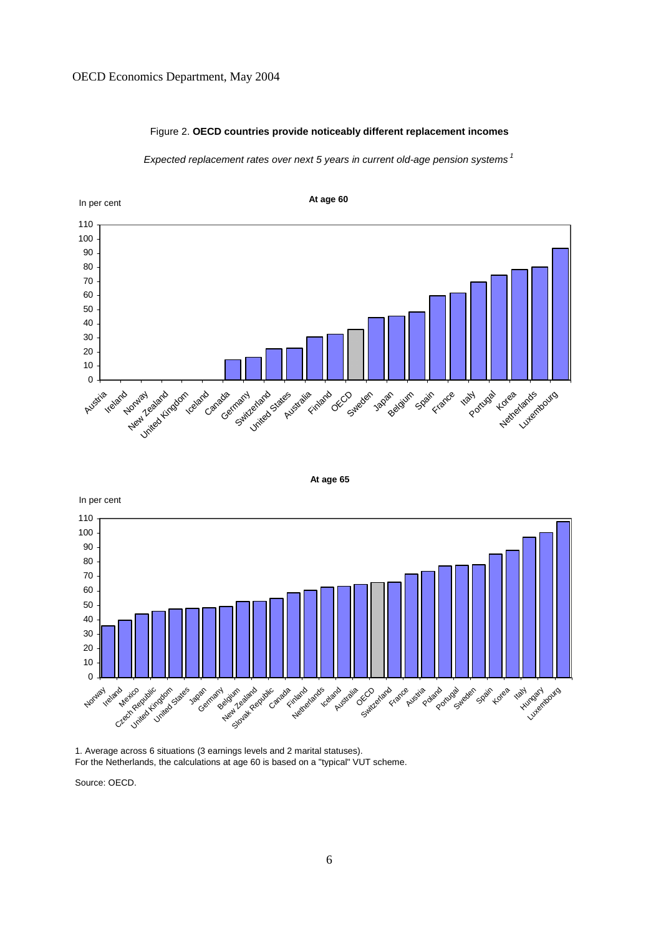### OECD Economics Department, May 2004

### Figure 2. **OECD countries provide noticeably different replacement incomes**

Expected replacement rates over next 5 years in current old-age pension systems<sup>1</sup>







1. Average across 6 situations (3 earnings levels and 2 marital statuses). For the Netherlands, the calculations at age 60 is based on a "typical" VUT scheme.

Source: OECD.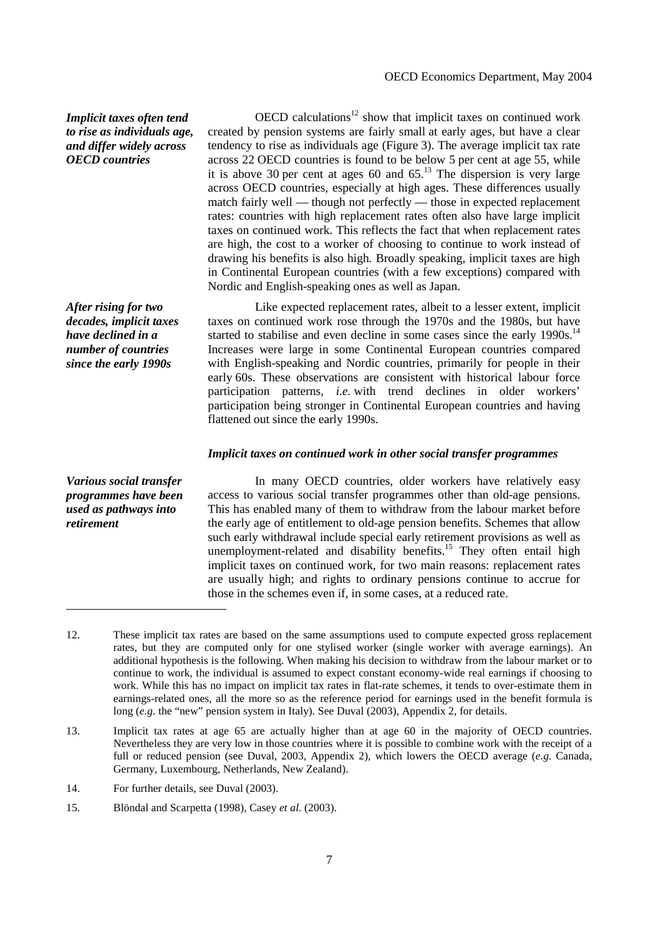*Implicit taxes often tend to rise as individuals age, and differ widely across OECD countries* 

*After rising for two decades, implicit taxes have declined in a number of countries since the early 1990s* 

*Various social transfer programmes have been used as pathways into* 

*retirement* 

<u>.</u>

 $OECD$  calculations<sup>12</sup> show that implicit taxes on continued work created by pension systems are fairly small at early ages, but have a clear tendency to rise as individuals age (Figure 3). The average implicit tax rate across 22 OECD countries is found to be below 5 per cent at age 55, while it is above 30 per cent at ages 60 and  $65<sup>13</sup>$ . The dispersion is very large across OECD countries, especially at high ages. These differences usually match fairly well — though not perfectly — those in expected replacement rates: countries with high replacement rates often also have large implicit taxes on continued work. This reflects the fact that when replacement rates are high, the cost to a worker of choosing to continue to work instead of drawing his benefits is also high*.* Broadly speaking, implicit taxes are high in Continental European countries (with a few exceptions) compared with Nordic and English-speaking ones as well as Japan.

 Like expected replacement rates, albeit to a lesser extent, implicit taxes on continued work rose through the 1970s and the 1980s, but have started to stabilise and even decline in some cases since the early  $1990s$ <sup>14</sup> Increases were large in some Continental European countries compared with English-speaking and Nordic countries, primarily for people in their early 60s. These observations are consistent with historical labour force participation patterns, *i.e.* with trend declines in older workers' participation being stronger in Continental European countries and having flattened out since the early 1990s.

### *Implicit taxes on continued work in other social transfer programmes*

 In many OECD countries, older workers have relatively easy access to various social transfer programmes other than old-age pensions. This has enabled many of them to withdraw from the labour market before the early age of entitlement to old-age pension benefits. Schemes that allow such early withdrawal include special early retirement provisions as well as unemployment-related and disability benefits.<sup>15</sup> They often entail high implicit taxes on continued work, for two main reasons: replacement rates are usually high; and rights to ordinary pensions continue to accrue for those in the schemes even if, in some cases, at a reduced rate.

- 14. For further details, see Duval (2003).
- 15. Blöndal and Scarpetta (1998), Casey *et al.* (2003).

<sup>12.</sup> These implicit tax rates are based on the same assumptions used to compute expected gross replacement rates, but they are computed only for one stylised worker (single worker with average earnings). An additional hypothesis is the following. When making his decision to withdraw from the labour market or to continue to work, the individual is assumed to expect constant economy-wide real earnings if choosing to work. While this has no impact on implicit tax rates in flat-rate schemes, it tends to over-estimate them in earnings-related ones, all the more so as the reference period for earnings used in the benefit formula is long (*e.g.* the "new" pension system in Italy). See Duval (2003), Appendix 2, for details.

<sup>13.</sup> Implicit tax rates at age 65 are actually higher than at age 60 in the majority of OECD countries. Nevertheless they are very low in those countries where it is possible to combine work with the receipt of a full or reduced pension (see Duval, 2003, Appendix 2), which lowers the OECD average (*e.g.* Canada, Germany, Luxembourg, Netherlands, New Zealand).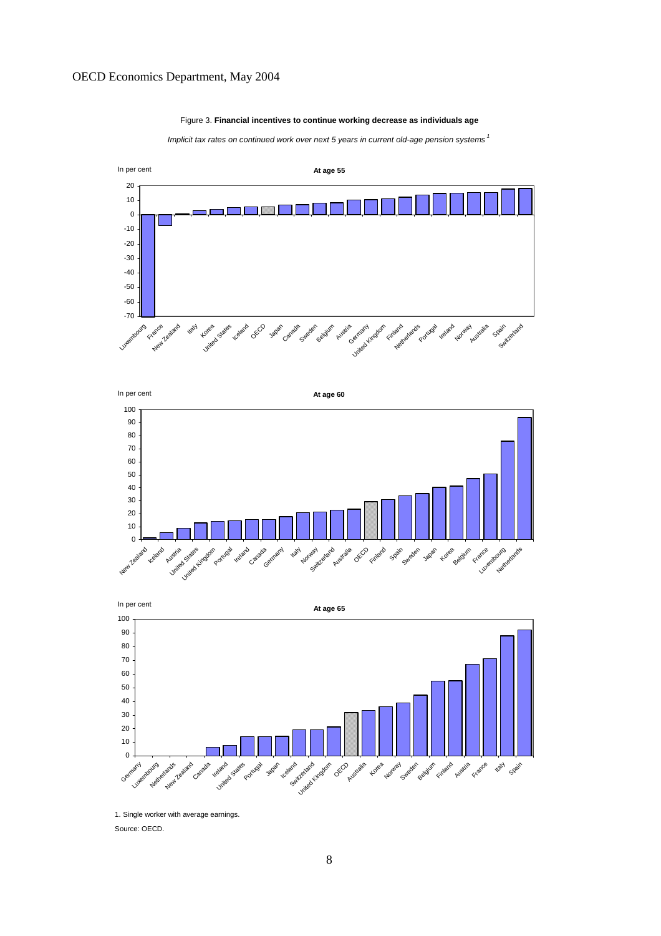#### Figure 3. **Financial incentives to continue working decrease as individuals age**

Implicit tax rates on continued work over next 5 years in current old-age pension systems<sup>1</sup>







1. Single worker with average earnings.

Source: OECD.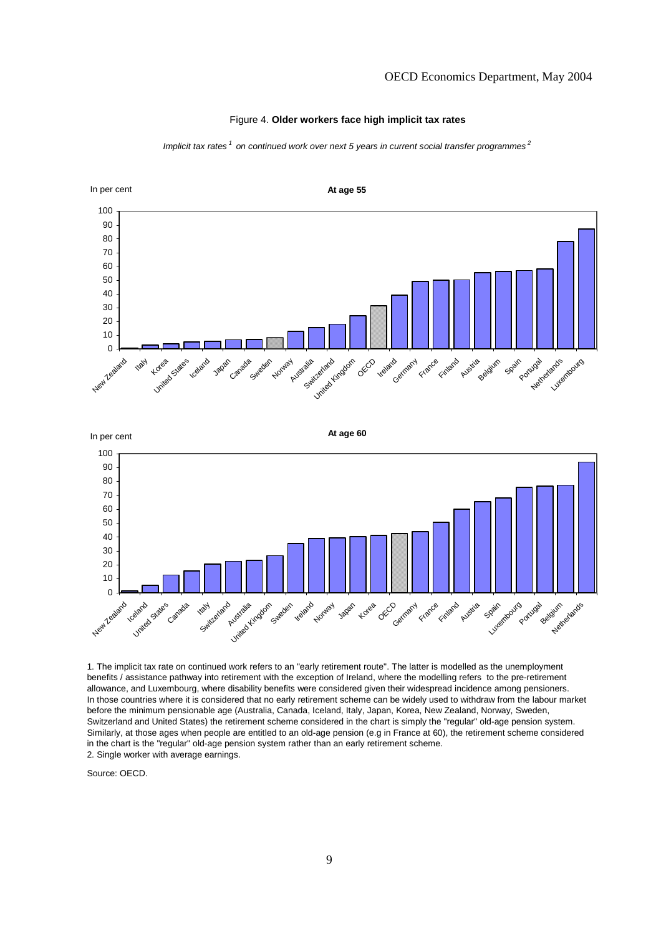

#### Figure 4. **Older workers face high implicit tax rates**

Implicit tax rates  $1$  on continued work over next 5 years in current social transfer programmes  $2$ 

1. The implicit tax rate on continued work refers to an "early retirement route". The latter is modelled as the unemployment benefits / assistance pathway into retirement with the exception of Ireland, where the modelling refers to the pre-retirement allowance, and Luxembourg, where disability benefits were considered given their widespread incidence among pensioners. In those countries where it is considered that no early retirement scheme can be widely used to withdraw from the labour market before the minimum pensionable age (Australia, Canada, Iceland, Italy, Japan, Korea, New Zealand, Norway, Sweden, Switzerland and United States) the retirement scheme considered in the chart is simply the "regular" old-age pension system. Similarly, at those ages when people are entitled to an old-age pension (e.g in France at 60), the retirement scheme considered

France Finland Austria Spain Luxembourg

Portugal Belgium Netherlands

in the chart is the "regular" old-age pension system rather than an early retirement scheme.

Australia Kingdom

Sweden

Ireland **Norway** Japan Korea OECD Germany

2. Single worker with average earnings.

Source: OECD.

 $\Omega$ 

New Zealand

**Iceland** United States

Canada

**Kaly** edand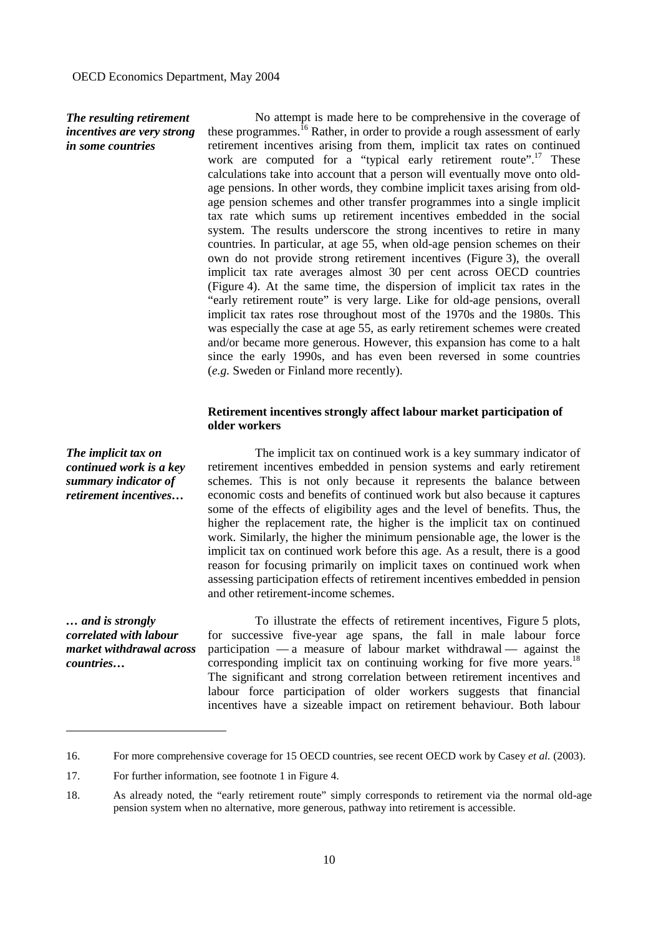## *The resulting retirement incentives are very strong in some countries*

 No attempt is made here to be comprehensive in the coverage of these programmes.<sup>16</sup> Rather, in order to provide a rough assessment of early retirement incentives arising from them, implicit tax rates on continued work are computed for a "typical early retirement route".<sup>17</sup> These calculations take into account that a person will eventually move onto oldage pensions. In other words, they combine implicit taxes arising from oldage pension schemes and other transfer programmes into a single implicit tax rate which sums up retirement incentives embedded in the social system. The results underscore the strong incentives to retire in many countries. In particular, at age 55, when old-age pension schemes on their own do not provide strong retirement incentives (Figure 3), the overall implicit tax rate averages almost 30 per cent across OECD countries (Figure 4). At the same time, the dispersion of implicit tax rates in the "early retirement route" is very large. Like for old-age pensions, overall implicit tax rates rose throughout most of the 1970s and the 1980s. This was especially the case at age 55, as early retirement schemes were created and/or became more generous. However, this expansion has come to a halt since the early 1990s, and has even been reversed in some countries (*e.g.* Sweden or Finland more recently).

## **Retirement incentives strongly affect labour market participation of older workers**

*The implicit tax on continued work is a key summary indicator of retirement incentives…* 

 The implicit tax on continued work is a key summary indicator of retirement incentives embedded in pension systems and early retirement schemes. This is not only because it represents the balance between economic costs and benefits of continued work but also because it captures some of the effects of eligibility ages and the level of benefits. Thus, the higher the replacement rate, the higher is the implicit tax on continued work. Similarly, the higher the minimum pensionable age, the lower is the implicit tax on continued work before this age. As a result, there is a good reason for focusing primarily on implicit taxes on continued work when assessing participation effects of retirement incentives embedded in pension and other retirement-income schemes.

*… and is strongly correlated with labour market withdrawal across countries…* 

-

 To illustrate the effects of retirement incentives, Figure 5 plots, for successive five-year age spans, the fall in male labour force participation — a measure of labour market withdrawal — against the corresponding implicit tax on continuing working for five more years.<sup>18</sup> The significant and strong correlation between retirement incentives and labour force participation of older workers suggests that financial incentives have a sizeable impact on retirement behaviour. Both labour

<sup>16.</sup> For more comprehensive coverage for 15 OECD countries, see recent OECD work by Casey *et al.* (2003).

<sup>17.</sup> For further information, see footnote 1 in Figure 4.

<sup>18.</sup> As already noted, the "early retirement route" simply corresponds to retirement via the normal old-age pension system when no alternative, more generous, pathway into retirement is accessible.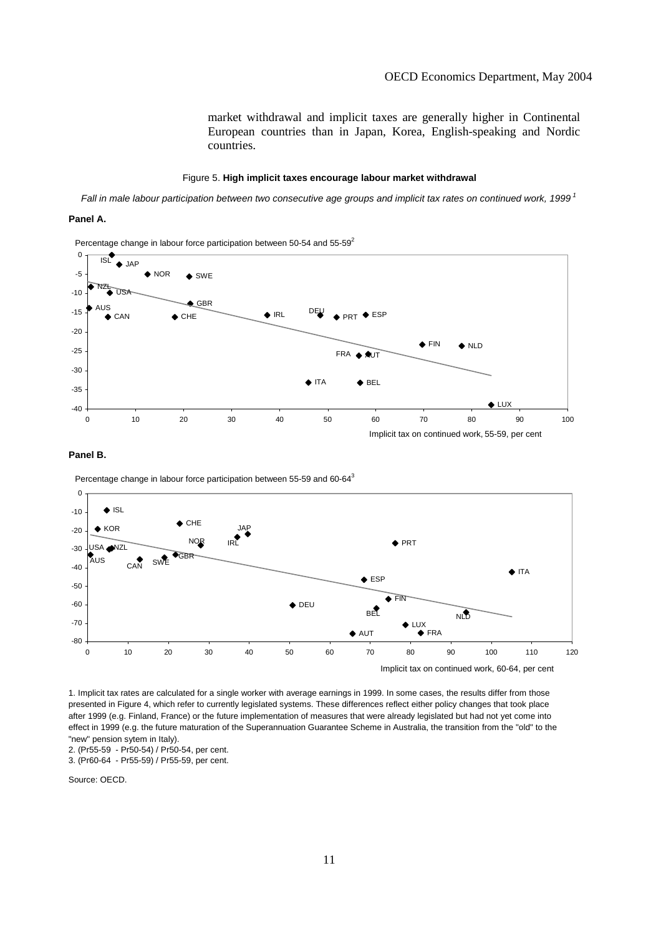market withdrawal and implicit taxes are generally higher in Continental European countries than in Japan, Korea, English-speaking and Nordic countries.

#### Figure 5. **High implicit taxes encourage labour market withdrawal**

Fall in male labour participation between two consecutive age groups and implicit tax rates on continued work, 1999<sup>1</sup>

#### **Panel A.**





#### **Panel B.**

Percentage change in labour force participation between 55-59 and 60-643



1. Implicit tax rates are calculated for a single worker with average earnings in 1999. In some cases, the results differ from those presented in Figure 4, which refer to currently legislated systems. These differences reflect either policy changes that took place after 1999 (e.g. Finland, France) or the future implementation of measures that were already legislated but had not yet come into effect in 1999 (e.g. the future maturation of the Superannuation Guarantee Scheme in Australia, the transition from the "old" to the "new" pension sytem in Italy).

2. (Pr55-59 - Pr50-54) / Pr50-54, per cent.

3. (Pr60-64 - Pr55-59) / Pr55-59, per cent.

Source: OECD.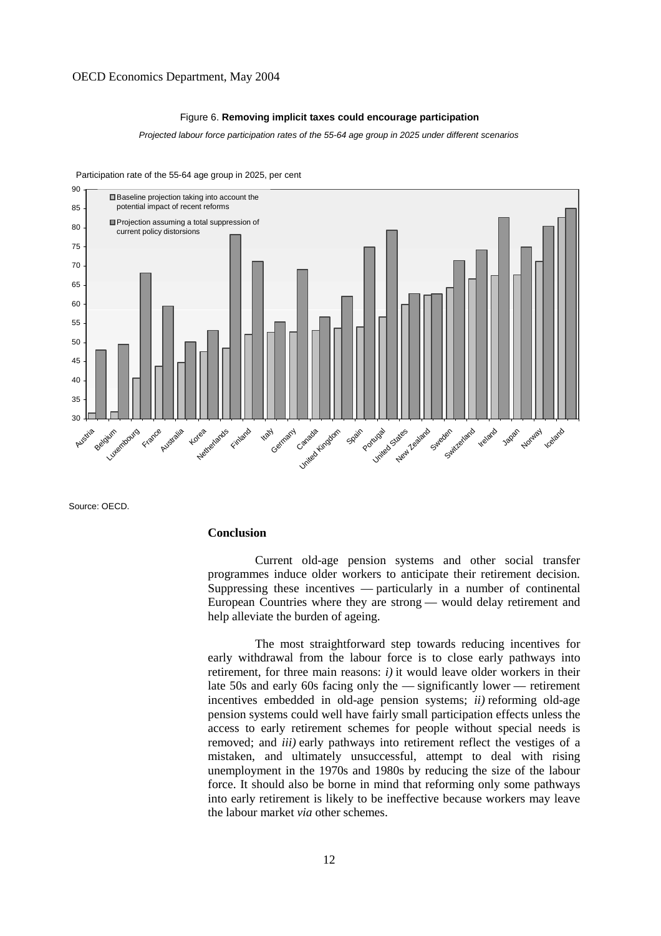#### Figure 6. **Removing implicit taxes could encourage participation**

Projected labour force participation rates of the 55-64 age group in 2025 under different scenarios



Participation rate of the 55-64 age group in 2025, per cent

Source: OECD.

### **Conclusion**

 Current old-age pension systems and other social transfer programmes induce older workers to anticipate their retirement decision. Suppressing these incentives — particularly in a number of continental European Countries where they are strong — would delay retirement and help alleviate the burden of ageing.

 The most straightforward step towards reducing incentives for early withdrawal from the labour force is to close early pathways into retirement, for three main reasons: *i)* it would leave older workers in their late 50s and early 60s facing only the — significantly lower — retirement incentives embedded in old-age pension systems; *ii)* reforming old-age pension systems could well have fairly small participation effects unless the access to early retirement schemes for people without special needs is removed; and *iii)* early pathways into retirement reflect the vestiges of a mistaken, and ultimately unsuccessful, attempt to deal with rising unemployment in the 1970s and 1980s by reducing the size of the labour force. It should also be borne in mind that reforming only some pathways into early retirement is likely to be ineffective because workers may leave the labour market *via* other schemes.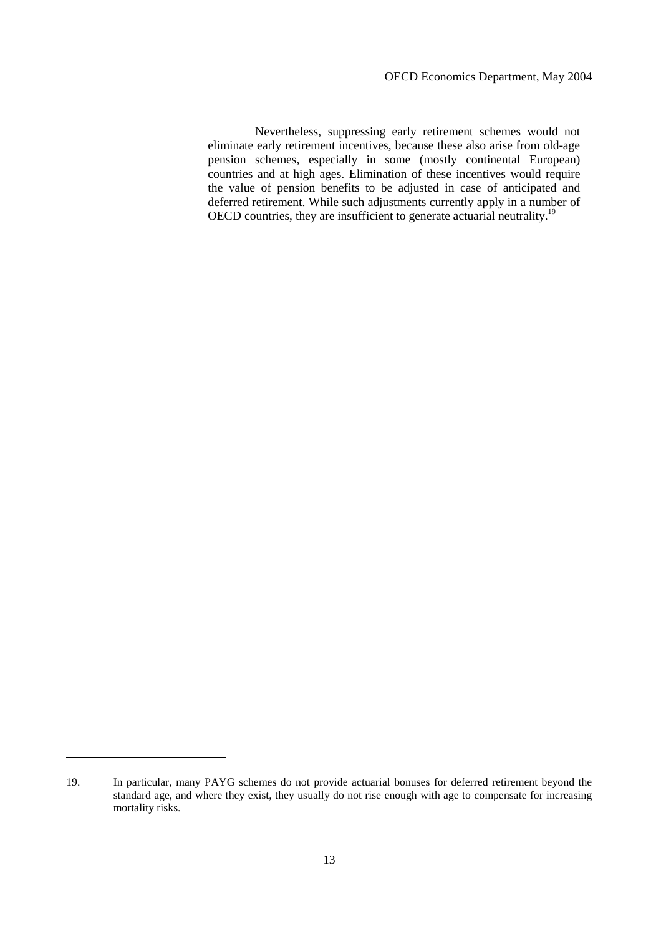Nevertheless, suppressing early retirement schemes would not eliminate early retirement incentives, because these also arise from old-age pension schemes, especially in some (mostly continental European) countries and at high ages. Elimination of these incentives would require the value of pension benefits to be adjusted in case of anticipated and deferred retirement. While such adjustments currently apply in a number of OECD countries, they are insufficient to generate actuarial neutrality.<sup>19</sup>

<u>.</u>

<sup>19.</sup> In particular, many PAYG schemes do not provide actuarial bonuses for deferred retirement beyond the standard age, and where they exist, they usually do not rise enough with age to compensate for increasing mortality risks.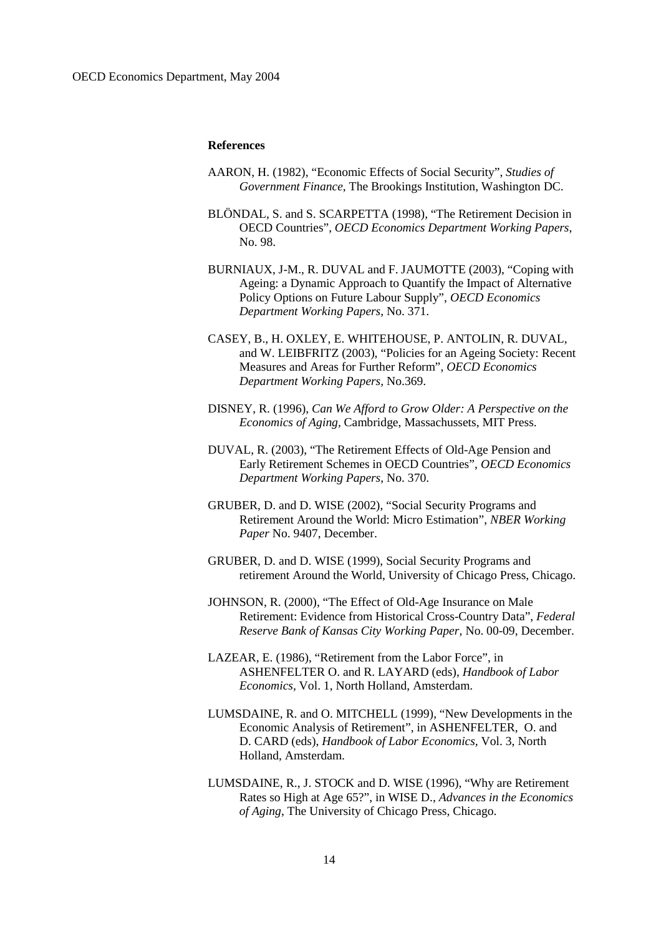#### **References**

- AARON, H. (1982), "Economic Effects of Social Security", *Studies of Government Finance*, The Brookings Institution, Washington DC.
- BLÖNDAL, S. and S. SCARPETTA (1998), "The Retirement Decision in OECD Countries", *OECD Economics Department Working Papers*, No. 98.
- BURNIAUX, J-M., R. DUVAL and F. JAUMOTTE (2003), "Coping with Ageing: a Dynamic Approach to Quantify the Impact of Alternative Policy Options on Future Labour Supply", *OECD Economics Department Working Papers*, No. 371.
- CASEY, B., H. OXLEY, E. WHITEHOUSE, P. ANTOLIN, R. DUVAL, and W. LEIBFRITZ (2003), "Policies for an Ageing Society: Recent Measures and Areas for Further Reform", *OECD Economics Department Working Papers,* No.369.
- DISNEY, R. (1996), *Can We Afford to Grow Older: A Perspective on the Economics of Aging,* Cambridge, Massachussets, MIT Press.
- DUVAL, R. (2003), "The Retirement Effects of Old-Age Pension and Early Retirement Schemes in OECD Countries", *OECD Economics Department Working Papers*, No. 370.
- GRUBER, D. and D. WISE (2002), "Social Security Programs and Retirement Around the World: Micro Estimation", *NBER Working Paper* No. 9407, December.
- GRUBER, D. and D. WISE (1999), Social Security Programs and retirement Around the World, University of Chicago Press, Chicago.
- JOHNSON, R. (2000), "The Effect of Old-Age Insurance on Male Retirement: Evidence from Historical Cross-Country Data", *Federal Reserve Bank of Kansas City Working Paper,* No. 00-09, December.
- LAZEAR, E. (1986), "Retirement from the Labor Force", in ASHENFELTER O. and R. LAYARD (eds), *Handbook of Labor Economics,* Vol. 1, North Holland, Amsterdam.
- LUMSDAINE, R. and O. MITCHELL (1999), "New Developments in the Economic Analysis of Retirement", in ASHENFELTER, O. and D. CARD (eds), *Handbook of Labor Economics,* Vol. 3, North Holland, Amsterdam.
- LUMSDAINE, R., J. STOCK and D. WISE (1996), "Why are Retirement Rates so High at Age 65?", in WISE D., *Advances in the Economics of Aging*, The University of Chicago Press, Chicago.